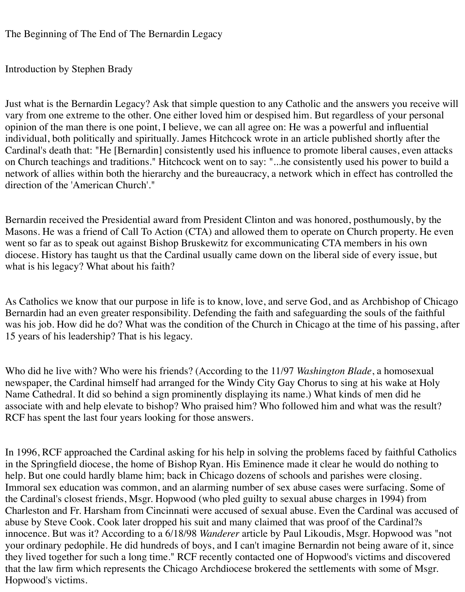The Beginning of The End of The Bernardin Legacy

Introduction by Stephen Brady

Just what is the Bernardin Legacy? Ask that simple question to any Catholic and the answers you receive will vary from one extreme to the other. One either loved him or despised him. But regardless of your personal opinion of the man there is one point, I believe, we can all agree on: He was a powerful and influential individual, both politically and spiritually. James Hitchcock wrote in an article published shortly after the Cardinal's death that: "He [Bernardin] consistently used his influence to promote liberal causes, even attacks on Church teachings and traditions." Hitchcock went on to say: "...he consistently used his power to build a network of allies within both the hierarchy and the bureaucracy, a network which in effect has controlled the direction of the 'American Church'."

Bernardin received the Presidential award from President Clinton and was honored, posthumously, by the Masons. He was a friend of Call To Action (CTA) and allowed them to operate on Church property. He even went so far as to speak out against Bishop Bruskewitz for excommunicating CTA members in his own diocese. History has taught us that the Cardinal usually came down on the liberal side of every issue, but what is his legacy? What about his faith?

As Catholics we know that our purpose in life is to know, love, and serve God, and as Archbishop of Chicago Bernardin had an even greater responsibility. Defending the faith and safeguarding the souls of the faithful was his job. How did he do? What was the condition of the Church in Chicago at the time of his passing, after 15 years of his leadership? That is his legacy.

Who did he live with? Who were his friends? (According to the 11/97 *Washington Blade*, a homosexual newspaper, the Cardinal himself had arranged for the Windy City Gay Chorus to sing at his wake at Holy Name Cathedral. It did so behind a sign prominently displaying its name.) What kinds of men did he associate with and help elevate to bishop? Who praised him? Who followed him and what was the result? RCF has spent the last four years looking for those answers.

In 1996, RCF approached the Cardinal asking for his help in solving the problems faced by faithful Catholics in the Springfield diocese, the home of Bishop Ryan. His Eminence made it clear he would do nothing to help. But one could hardly blame him; back in Chicago dozens of schools and parishes were closing. Immoral sex education was common, and an alarming number of sex abuse cases were surfacing. Some of the Cardinal's closest friends, Msgr. Hopwood (who pled guilty to sexual abuse charges in 1994) from Charleston and Fr. Harsham from Cincinnati were accused of sexual abuse. Even the Cardinal was accused of abuse by Steve Cook. Cook later dropped his suit and many claimed that was proof of the Cardinal?s innocence. But was it? According to a 6/18/98 *Wanderer* article by Paul Likoudis, Msgr. Hopwood was "not your ordinary pedophile. He did hundreds of boys, and I can't imagine Bernardin not being aware of it, since they lived together for such a long time." RCF recently contacted one of Hopwood's victims and discovered that the law firm which represents the Chicago Archdiocese brokered the settlements with some of Msgr. Hopwood's victims.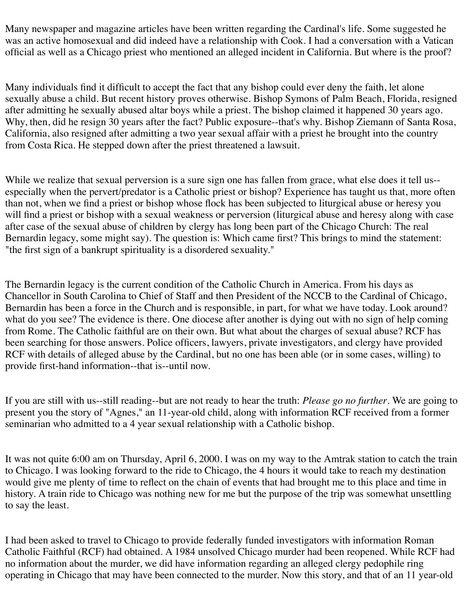Many newspaper and magazine articles have been written regarding the Cardinal's life. Some suggested he was an active homosexual and did indeed have a relationship with Cook. I had a conversation with a Vatican official as well as a Chicago priest who mentioned an alleged incident in California. But where is the proof?

Many individuals find it difficult to accept the fact that any bishop could ever deny the faith, let alone sexually abuse a child. But recent history proves otherwise. Bishop Symons of Palm Beach, Florida, resigned after admitting he sexually abused altar boys while a priest. The bishop claimed it happened 30 years ago. Why, then, did he resign 30 years after the fact? Public exposure--that's why. Bishop Ziemann of Santa Rosa, California, also resigned after admitting a two year sexual affair with a priest he brought into the country from Costa Rica. He stepped down after the priest threatened a lawsuit.

While we realize that sexual perversion is a sure sign one has fallen from grace, what else does it tell us-especially when the pervert/predator is a Catholic priest or bishop? Experience has taught us that, more often than not, when we find a priest or bishop whose flock has been subjected to liturgical abuse or heresy you will find a priest or bishop with a sexual weakness or perversion (liturgical abuse and heresy along with case after case of the sexual abuse of children by clergy has long been part of the Chicago Church: The real Bernardin legacy, some might say). The question is: Which came first? This brings to mind the statement: "the first sign of a bankrupt spirituality is a disordered sexuality."

The Bernardin legacy is the current condition of the Catholic Church in America. From his days as Chancellor in South Carolina to Chief of Staff and then President of the NCCB to the Cardinal of Chicago, Bernardin has been a force in the Church and is responsible, in part, for what we have today. Look around? what do you see? The evidence is there. One diocese after another is dying out with no sign of help coming from Rome. The Catholic faithful are on their own. But what about the charges of sexual abuse? RCF has been searching for those answers. Police officers, lawyers, private investigators, and clergy have provided RCF with details of alleged abuse by the Cardinal, but no one has been able (or in some cases, willing) to provide first-hand information--that is--until now.

If you are still with us--still reading--but are not ready to hear the truth: *Please go no further*. We are going to present you the story of "Agnes," an 11-year-old child, along with information RCF received from a former seminarian who admitted to a 4 year sexual relationship with a Catholic bishop.

It was not quite 6:00 am on Thursday, April 6, 2000. I was on my way to the Amtrak station to catch the train to Chicago. I was looking forward to the ride to Chicago, the 4 hours it would take to reach my destination would give me plenty of time to reflect on the chain of events that had brought me to this place and time in history. A train ride to Chicago was nothing new for me but the purpose of the trip was somewhat unsettling to say the least.

I had been asked to travel to Chicago to provide federally funded investigators with information Roman Catholic Faithful (RCF) had obtained. A 1984 unsolved Chicago murder had been reopened. While RCF had no information about the murder, we did have information regarding an alleged clergy pedophile ring operating in Chicago that may have been connected to the murder. Now this story, and that of an 11 year-old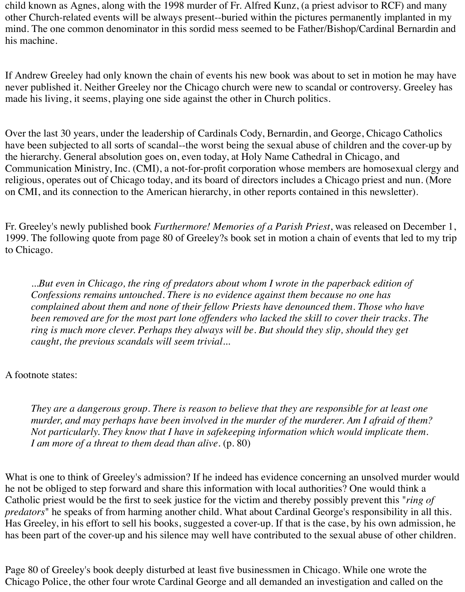child known as Agnes, along with the 1998 murder of Fr. Alfred Kunz, (a priest advisor to RCF) and many other Church-related events will be always present--buried within the pictures permanently implanted in my mind. The one common denominator in this sordid mess seemed to be Father/Bishop/Cardinal Bernardin and his machine.

If Andrew Greeley had only known the chain of events his new book was about to set in motion he may have never published it. Neither Greeley nor the Chicago church were new to scandal or controversy. Greeley has made his living, it seems, playing one side against the other in Church politics.

Over the last 30 years, under the leadership of Cardinals Cody, Bernardin, and George, Chicago Catholics have been subjected to all sorts of scandal--the worst being the sexual abuse of children and the cover-up by the hierarchy. General absolution goes on, even today, at Holy Name Cathedral in Chicago, and Communication Ministry, Inc. (CMI), a not-for-profit corporation whose members are homosexual clergy and religious, operates out of Chicago today, and its board of directors includes a Chicago priest and nun. (More on CMI, and its connection to the American hierarchy, in other reports contained in this newsletter).

Fr. Greeley's newly published book *Furthermore! Memories of a Parish Priest*, was released on December 1, 1999. The following quote from page 80 of Greeley?s book set in motion a chain of events that led to my trip to Chicago.

*...But even in Chicago, the ring of predators about whom I wrote in the paperback edition of Confessions remains untouched. There is no evidence against them because no one has complained about them and none of their fellow Priests have denounced them. Those who have been removed are for the most part lone offenders who lacked the skill to cover their tracks. The ring is much more clever. Perhaps they always will be. But should they slip, should they get caught, the previous scandals will seem trivial...*

## A footnote states:

*They are a dangerous group. There is reason to believe that they are responsible for at least one murder, and may perhaps have been involved in the murder of the murderer. Am I afraid of them? Not particularly. They know that I have in safekeeping information which would implicate them. I am more of a threat to them dead than alive.* (p. 80)

What is one to think of Greeley's admission? If he indeed has evidence concerning an unsolved murder would he not be obliged to step forward and share this information with local authorities? One would think a Catholic priest would be the first to seek justice for the victim and thereby possibly prevent this "*ring of predators*" he speaks of from harming another child. What about Cardinal George's responsibility in all this. Has Greeley, in his effort to sell his books, suggested a cover-up. If that is the case, by his own admission, he has been part of the cover-up and his silence may well have contributed to the sexual abuse of other children.

Page 80 of Greeley's book deeply disturbed at least five businessmen in Chicago. While one wrote the Chicago Police, the other four wrote Cardinal George and all demanded an investigation and called on the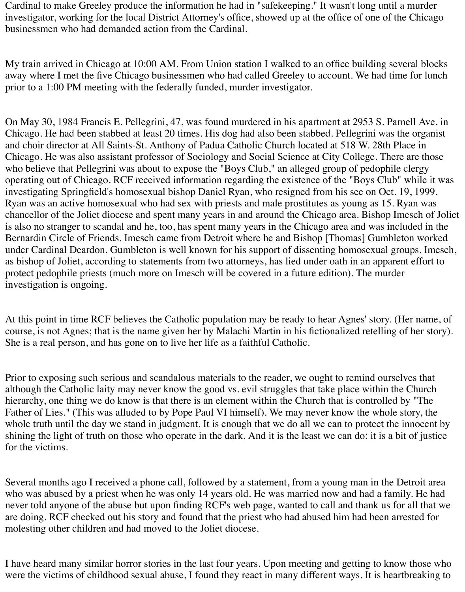Cardinal to make Greeley produce the information he had in "safekeeping." It wasn't long until a murder investigator, working for the local District Attorney's office, showed up at the office of one of the Chicago businessmen who had demanded action from the Cardinal.

My train arrived in Chicago at 10:00 AM. From Union station I walked to an office building several blocks away where I met the five Chicago businessmen who had called Greeley to account. We had time for lunch prior to a 1:00 PM meeting with the federally funded, murder investigator.

On May 30, 1984 Francis E. Pellegrini, 47, was found murdered in his apartment at 2953 S. Parnell Ave. in Chicago. He had been stabbed at least 20 times. His dog had also been stabbed. Pellegrini was the organist and choir director at All Saints-St. Anthony of Padua Catholic Church located at 518 W. 28th Place in Chicago. He was also assistant professor of Sociology and Social Science at City College. There are those who believe that Pellegrini was about to expose the "Boys Club," an alleged group of pedophile clergy operating out of Chicago. RCF received information regarding the existence of the "Boys Club" while it was investigating Springfield's homosexual bishop Daniel Ryan, who resigned from his see on Oct. 19, 1999. Ryan was an active homosexual who had sex with priests and male prostitutes as young as 15. Ryan was chancellor of the Joliet diocese and spent many years in and around the Chicago area. Bishop Imesch of Joliet is also no stranger to scandal and he, too, has spent many years in the Chicago area and was included in the Bernardin Circle of Friends. Imesch came from Detroit where he and Bishop [Thomas] Gumbleton worked under Cardinal Deardon. Gumbleton is well known for his support of dissenting homosexual groups. Imesch, as bishop of Joliet, according to statements from two attorneys, has lied under oath in an apparent effort to protect pedophile priests (much more on Imesch will be covered in a future edition). The murder investigation is ongoing.

At this point in time RCF believes the Catholic population may be ready to hear Agnes' story. (Her name, of course, is not Agnes; that is the name given her by Malachi Martin in his fictionalized retelling of her story). She is a real person, and has gone on to live her life as a faithful Catholic.

Prior to exposing such serious and scandalous materials to the reader, we ought to remind ourselves that although the Catholic laity may never know the good vs. evil struggles that take place within the Church hierarchy, one thing we do know is that there is an element within the Church that is controlled by "The Father of Lies." (This was alluded to by Pope Paul VI himself). We may never know the whole story, the whole truth until the day we stand in judgment. It is enough that we do all we can to protect the innocent by shining the light of truth on those who operate in the dark. And it is the least we can do: it is a bit of justice for the victims.

Several months ago I received a phone call, followed by a statement, from a young man in the Detroit area who was abused by a priest when he was only 14 years old. He was married now and had a family. He had never told anyone of the abuse but upon finding RCF's web page, wanted to call and thank us for all that we are doing. RCF checked out his story and found that the priest who had abused him had been arrested for molesting other children and had moved to the Joliet diocese.

I have heard many similar horror stories in the last four years. Upon meeting and getting to know those who were the victims of childhood sexual abuse, I found they react in many different ways. It is heartbreaking to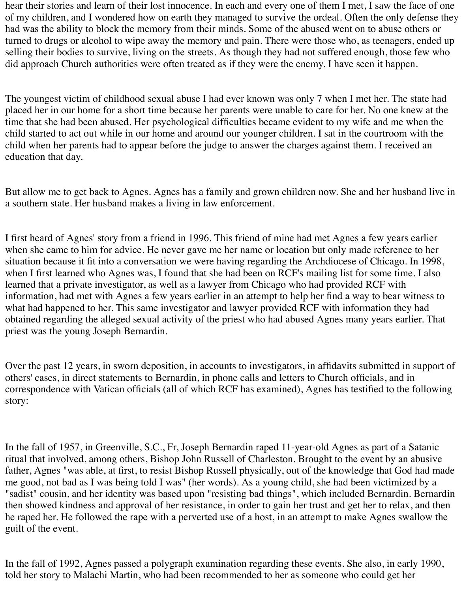hear their stories and learn of their lost innocence. In each and every one of them I met, I saw the face of one of my children, and I wondered how on earth they managed to survive the ordeal. Often the only defense they had was the ability to block the memory from their minds. Some of the abused went on to abuse others or turned to drugs or alcohol to wipe away the memory and pain. There were those who, as teenagers, ended up selling their bodies to survive, living on the streets. As though they had not suffered enough, those few who did approach Church authorities were often treated as if they were the enemy. I have seen it happen.

The youngest victim of childhood sexual abuse I had ever known was only 7 when I met her. The state had placed her in our home for a short time because her parents were unable to care for her. No one knew at the time that she had been abused. Her psychological difficulties became evident to my wife and me when the child started to act out while in our home and around our younger children. I sat in the courtroom with the child when her parents had to appear before the judge to answer the charges against them. I received an education that day.

But allow me to get back to Agnes. Agnes has a family and grown children now. She and her husband live in a southern state. Her husband makes a living in law enforcement.

I first heard of Agnes' story from a friend in 1996. This friend of mine had met Agnes a few years earlier when she came to him for advice. He never gave me her name or location but only made reference to her situation because it fit into a conversation we were having regarding the Archdiocese of Chicago. In 1998, when I first learned who Agnes was, I found that she had been on RCF's mailing list for some time. I also learned that a private investigator, as well as a lawyer from Chicago who had provided RCF with information, had met with Agnes a few years earlier in an attempt to help her find a way to bear witness to what had happened to her. This same investigator and lawyer provided RCF with information they had obtained regarding the alleged sexual activity of the priest who had abused Agnes many years earlier. That priest was the young Joseph Bernardin.

Over the past 12 years, in sworn deposition, in accounts to investigators, in affidavits submitted in support of others' cases, in direct statements to Bernardin, in phone calls and letters to Church officials, and in correspondence with Vatican officials (all of which RCF has examined), Agnes has testified to the following story:

In the fall of 1957, in Greenville, S.C., Fr, Joseph Bernardin raped 11-year-old Agnes as part of a Satanic ritual that involved, among others, Bishop John Russell of Charleston. Brought to the event by an abusive father, Agnes "was able, at first, to resist Bishop Russell physically, out of the knowledge that God had made me good, not bad as I was being told I was" (her words). As a young child, she had been victimized by a "sadist" cousin, and her identity was based upon "resisting bad things", which included Bernardin. Bernardin then showed kindness and approval of her resistance, in order to gain her trust and get her to relax, and then he raped her. He followed the rape with a perverted use of a host, in an attempt to make Agnes swallow the guilt of the event.

In the fall of 1992, Agnes passed a polygraph examination regarding these events. She also, in early 1990, told her story to Malachi Martin, who had been recommended to her as someone who could get her